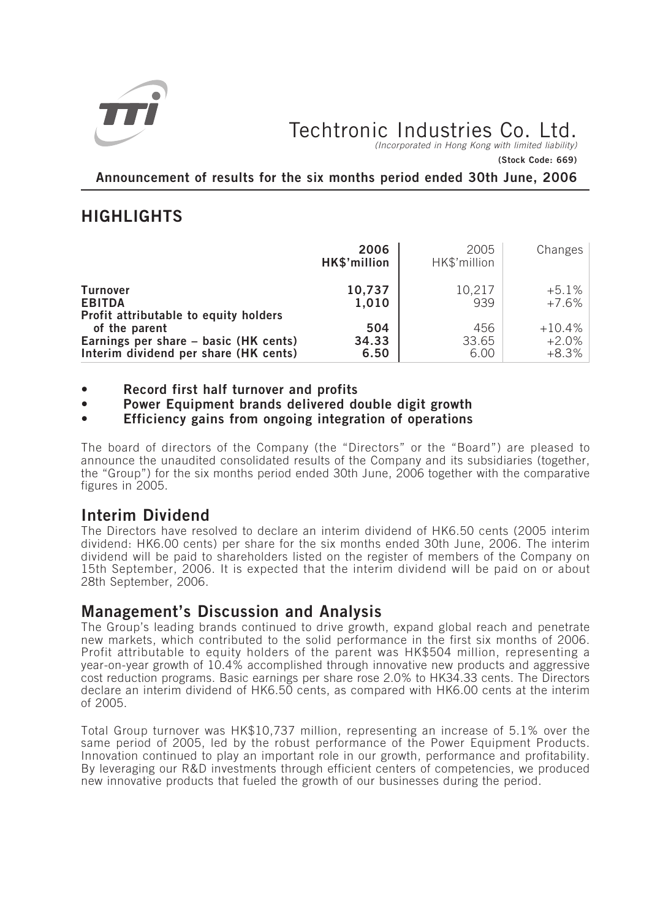

# Techtronic Industries Co. Ltd.

*(Incorporated in Hong Kong with limited liability)*

**(Stock Code: 669)**

**Announcement of results for the six months period ended 30th June, 2006**

## **HIGHLIGHTS**

|                                                                                                 | 2006<br>HK\$'million | 2005<br>HK\$'million | Changes                         |
|-------------------------------------------------------------------------------------------------|----------------------|----------------------|---------------------------------|
| <b>Turnover</b><br><b>EBITDA</b><br>Profit attributable to equity holders                       | 10,737<br>1,010      | 10,217<br>939        | +5.1%<br>+7.6%                  |
| of the parent<br>Earnings per share – basic (HK cents)<br>Interim dividend per share (HK cents) | 504<br>34.33<br>6.50 | 456<br>33.65<br>6.00 | $+10.4\%$<br>$+2.0%$<br>$+8.3%$ |

- **Record first half turnover and profits**
- **Power Equipment brands delivered double digit growth**
- **Efficiency gains from ongoing integration of operations**

*The board of directors of the Company (the "Directors" or the "Board") are pleased to announce the unaudited consolidated results of the Company and its subsidiaries (together, the "Group") for the six months period ended 30th June, 2006 together with the comparative figures in 2005.*

## **Interim Dividend**

*The Directors have resolved to declare an interim dividend of HK6.50 cents (2005 interim dividend: HK6.00 cents) per share for the six months ended 30th June, 2006. The interim dividend will be paid to shareholders listed on the register of members of the Company on 15th September, 2006. It is expected that the interim dividend will be paid on or about 28th September, 2006.*

## **Management's Discussion and Analysis**

*The Group's leading brands continued to drive growth, expand global reach and penetrate new markets, which contributed to the solid performance in the first six months of 2006. Profit attributable to equity holders of the parent was HK\$504 million, representing a year-on-year growth of 10.4% accomplished through innovative new products and aggressive cost reduction programs. Basic earnings per share rose 2.0% to HK34.33 cents. The Directors declare an interim dividend of HK6.50 cents, as compared with HK6.00 cents at the interim of 2005.*

*Total Group turnover was HK\$10,737 million, representing an increase of 5.1% over the same period of 2005, led by the robust performance of the Power Equipment Products. Innovation continued to play an important role in our growth, performance and profitability. By leveraging our R&D investments through efficient centers of competencies, we produced new innovative products that fueled the growth of our businesses during the period.*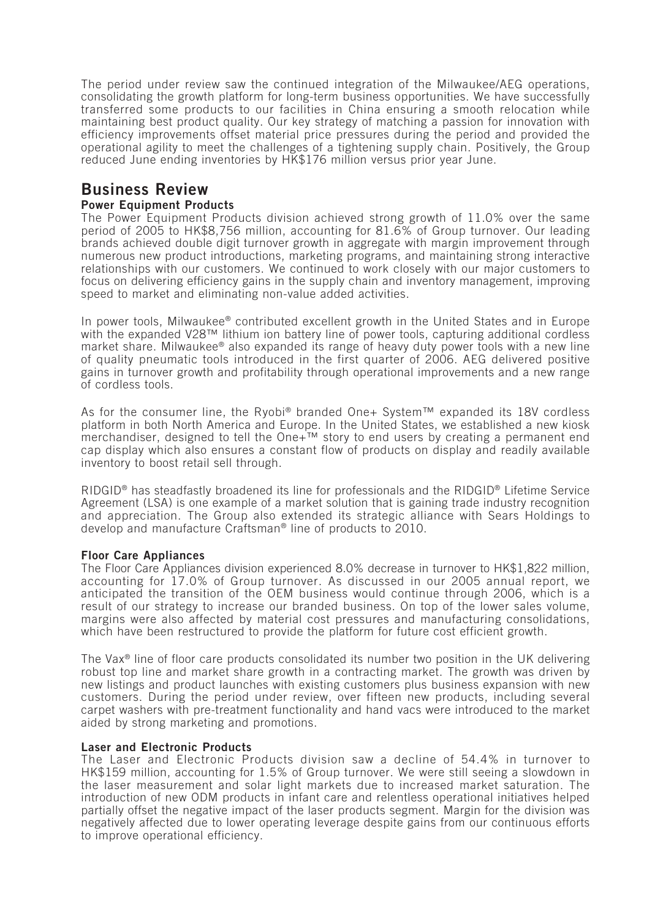*The period under review saw the continued integration of the Milwaukee/AEG operations, consolidating the growth platform for long-term business opportunities. We have successfully transferred some products to our facilities in China ensuring a smooth relocation while maintaining best product quality. Our key strategy of matching a passion for innovation with efficiency improvements offset material price pressures during the period and provided the operational agility to meet the challenges of a tightening supply chain. Positively, the Group reduced June ending inventories by HK\$176 million versus prior year June.*

## **Business Review**

### **Power Equipment Products**

*The Power Equipment Products division achieved strong growth of 11.0% over the same period of 2005 to HK\$8,756 million, accounting for 81.6% of Group turnover. Our leading brands achieved double digit turnover growth in aggregate with margin improvement through numerous new product introductions, marketing programs, and maintaining strong interactive relationships with our customers. We continued to work closely with our major customers to focus on delivering efficiency gains in the supply chain and inventory management, improving speed to market and eliminating non-value added activities.*

*In power tools, Milwaukee® contributed excellent growth in the United States and in Europe with the expanded V28™ lithium ion battery line of power tools, capturing additional cordless market share. Milwaukee® also expanded its range of heavy duty power tools with a new line of quality pneumatic tools introduced in the first quarter of 2006. AEG delivered positive gains in turnover growth and profitability through operational improvements and a new range of cordless tools.*

*As for the consumer line, the Ryobi® branded One+ System™ expanded its 18V cordless platform in both North America and Europe. In the United States, we established a new kiosk merchandiser, designed to tell the One+™ story to end users by creating a permanent end cap display which also ensures a constant flow of products on display and readily available inventory to boost retail sell through.*

*RIDGID® has steadfastly broadened its line for professionals and the RIDGID® Lifetime Service Agreement (LSA) is one example of a market solution that is gaining trade industry recognition and appreciation. The Group also extended its strategic alliance with Sears Holdings to develop and manufacture Craftsman® line of products to 2010.*

### **Floor Care Appliances**

*The Floor Care Appliances division experienced 8.0% decrease in turnover to HK\$1,822 million, accounting for 17.0% of Group turnover. As discussed in our 2005 annual report, we anticipated the transition of the OEM business would continue through 2006, which is a result of our strategy to increase our branded business. On top of the lower sales volume, margins were also affected by material cost pressures and manufacturing consolidations, which have been restructured to provide the platform for future cost efficient growth.*

*The Vax® line of floor care products consolidated its number two position in the UK delivering robust top line and market share growth in a contracting market. The growth was driven by new listings and product launches with existing customers plus business expansion with new customers. During the period under review, over fifteen new products, including several carpet washers with pre-treatment functionality and hand vacs were introduced to the market aided by strong marketing and promotions.*

### **Laser and Electronic Products**

*The Laser and Electronic Products division saw a decline of 54.4% in turnover to HK\$159 million, accounting for 1.5% of Group turnover. We were still seeing a slowdown in the laser measurement and solar light markets due to increased market saturation. The introduction of new ODM products in infant care and relentless operational initiatives helped partially offset the negative impact of the laser products segment. Margin for the division was negatively affected due to lower operating leverage despite gains from our continuous efforts to improve operational efficiency.*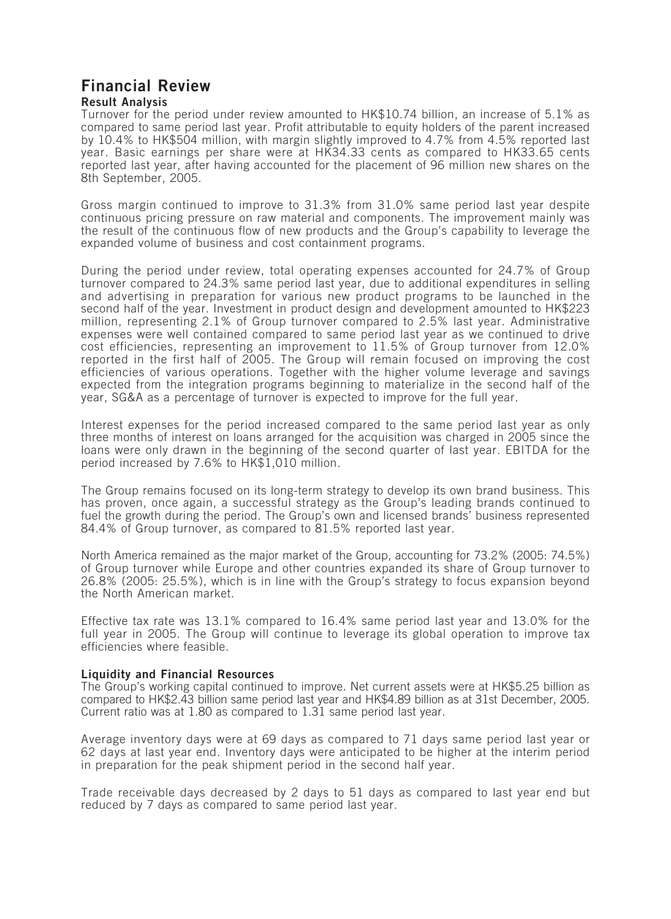# **Financial Review**

### **Result Analysis**

*Turnover for the period under review amounted to HK\$10.74 billion, an increase of 5.1% as compared to same period last year. Profit attributable to equity holders of the parent increased by 10.4% to HK\$504 million, with margin slightly improved to 4.7% from 4.5% reported last year. Basic earnings per share were at HK34.33 cents as compared to HK33.65 cents reported last year, after having accounted for the placement of 96 million new shares on the 8th September, 2005.*

*Gross margin continued to improve to 31.3% from 31.0% same period last year despite continuous pricing pressure on raw material and components. The improvement mainly was the result of the continuous flow of new products and the Group's capability to leverage the expanded volume of business and cost containment programs.*

*During the period under review, total operating expenses accounted for 24.7% of Group turnover compared to 24.3% same period last year, due to additional expenditures in selling and advertising in preparation for various new product programs to be launched in the second half of the year. Investment in product design and development amounted to HK\$223 million, representing 2.1% of Group turnover compared to 2.5% last year. Administrative expenses were well contained compared to same period last year as we continued to drive cost efficiencies, representing an improvement to 11.5% of Group turnover from 12.0% reported in the first half of 2005. The Group will remain focused on improving the cost efficiencies of various operations. Together with the higher volume leverage and savings expected from the integration programs beginning to materialize in the second half of the year, SG&A as a percentage of turnover is expected to improve for the full year.*

*Interest expenses for the period increased compared to the same period last year as only three months of interest on loans arranged for the acquisition was charged in 2005 since the loans were only drawn in the beginning of the second quarter of last year. EBITDA for the period increased by 7.6% to HK\$1,010 million.*

*The Group remains focused on its long-term strategy to develop its own brand business. This has proven, once again, a successful strategy as the Group's leading brands continued to fuel the growth during the period. The Group's own and licensed brands' business represented 84.4% of Group turnover, as compared to 81.5% reported last year.*

*North America remained as the major market of the Group, accounting for 73.2% (2005: 74.5%) of Group turnover while Europe and other countries expanded its share of Group turnover to 26.8% (2005: 25.5%), which is in line with the Group's strategy to focus expansion beyond the North American market.*

*Effective tax rate was 13.1% compared to 16.4% same period last year and 13.0% for the full year in 2005. The Group will continue to leverage its global operation to improve tax efficiencies where feasible.*

### **Liquidity and Financial Resources**

*The Group's working capital continued to improve. Net current assets were at HK\$5.25 billion as compared to HK\$2.43 billion same period last year and HK\$4.89 billion as at 31st December, 2005. Current ratio was at 1.80 as compared to 1.31 same period last year.*

*Average inventory days were at 69 days as compared to 71 days same period last year or 62 days at last year end. Inventory days were anticipated to be higher at the interim period in preparation for the peak shipment period in the second half year.*

*Trade receivable days decreased by 2 days to 51 days as compared to last year end but reduced by 7 days as compared to same period last year.*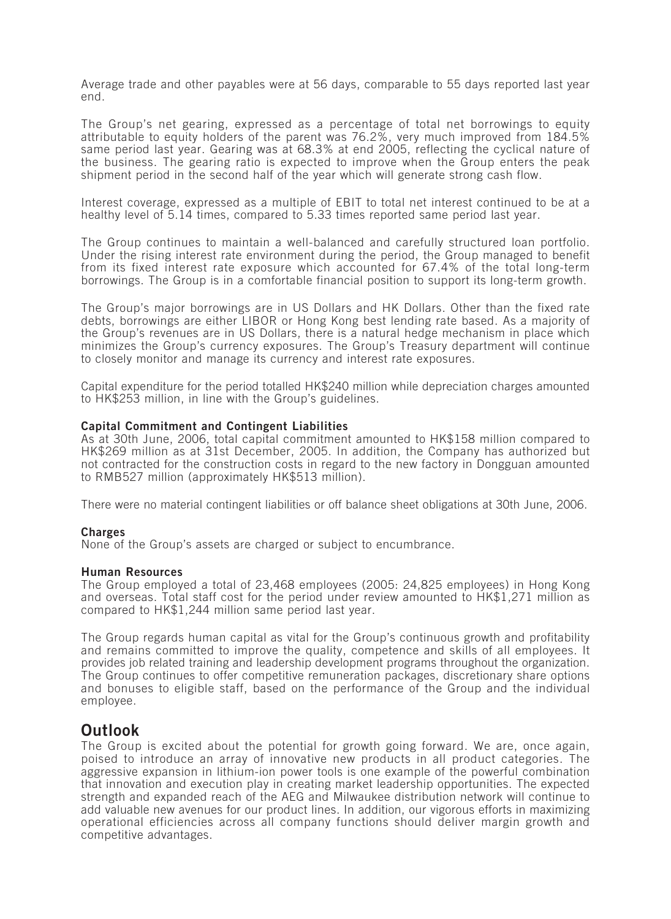*Average trade and other payables were at 56 days, comparable to 55 days reported last year end.*

*The Group's net gearing, expressed as a percentage of total net borrowings to equity attributable to equity holders of the parent was 76.2%, very much improved from 184.5% same period last year. Gearing was at 68.3% at end 2005, reflecting the cyclical nature of the business. The gearing ratio is expected to improve when the Group enters the peak shipment period in the second half of the year which will generate strong cash flow.*

*Interest coverage, expressed as a multiple of EBIT to total net interest continued to be at a healthy level of 5.14 times, compared to 5.33 times reported same period last year.*

*The Group continues to maintain a well-balanced and carefully structured loan portfolio. Under the rising interest rate environment during the period, the Group managed to benefit from its fixed interest rate exposure which accounted for 67.4% of the total long-term borrowings. The Group is in a comfortable financial position to support its long-term growth.*

*The Group's major borrowings are in US Dollars and HK Dollars. Other than the fixed rate debts, borrowings are either LIBOR or Hong Kong best lending rate based. As a majority of the Group's revenues are in US Dollars, there is a natural hedge mechanism in place which minimizes the Group's currency exposures. The Group's Treasury department will continue to closely monitor and manage its currency and interest rate exposures.*

*Capital expenditure for the period totalled HK\$240 million while depreciation charges amounted to HK\$253 million, in line with the Group's guidelines.*

### **Capital Commitment and Contingent Liabilities**

*As at 30th June, 2006, total capital commitment amounted to HK\$158 million compared to HK\$269 million as at 31st December, 2005. In addition, the Company has authorized but not contracted for the construction costs in regard to the new factory in Dongguan amounted to RMB527 million (approximately HK\$513 million).*

*There were no material contingent liabilities or off balance sheet obligations at 30th June, 2006.*

### **Charges**

*None of the Group's assets are charged or subject to encumbrance.*

### **Human Resources**

*The Group employed a total of 23,468 employees (2005: 24,825 employees) in Hong Kong and overseas. Total staff cost for the period under review amounted to HK\$1,271 million as compared to HK\$1,244 million same period last year.*

*The Group regards human capital as vital for the Group's continuous growth and profitability and remains committed to improve the quality, competence and skills of all employees. It provides job related training and leadership development programs throughout the organization. The Group continues to offer competitive remuneration packages, discretionary share options and bonuses to eligible staff, based on the performance of the Group and the individual employee.*

### **Outlook**

*The Group is excited about the potential for growth going forward. We are, once again, poised to introduce an array of innovative new products in all product categories. The aggressive expansion in lithium-ion power tools is one example of the powerful combination that innovation and execution play in creating market leadership opportunities. The expected strength and expanded reach of the AEG and Milwaukee distribution network will continue to add valuable new avenues for our product lines. In addition, our vigorous efforts in maximizing operational efficiencies across all company functions should deliver margin growth and competitive advantages.*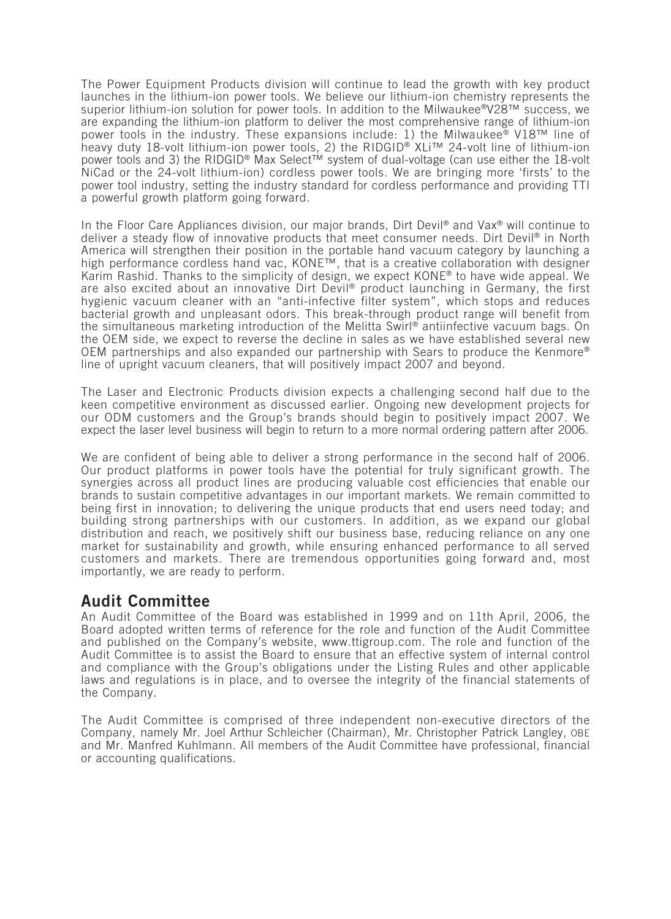*The Power Equipment Products division will continue to lead the growth with key product launches in the lithium-ion power tools. We believe our lithium-ion chemistry represents the superior lithium-ion solution for power tools. In addition to the Milwaukee®V28™ success, we are expanding the lithium-ion platform to deliver the most comprehensive range of lithium-ion power tools in the industry. These expansions include: 1) the Milwaukee® V18™ line of heavy duty 18-volt lithium-ion power tools, 2) the RIDGID® XLi™ 24-volt line of lithium-ion power tools and 3) the RIDGID® Max Select™ system of dual-voltage (can use either the 18-volt NiCad or the 24-volt lithium-ion) cordless power tools. We are bringing more 'firsts' to the power tool industry, setting the industry standard for cordless performance and providing TTI a powerful growth platform going forward.*

*In the Floor Care Appliances division, our major brands, Dirt Devil® and Vax® will continue to deliver a steady flow of innovative products that meet consumer needs. Dirt Devil® in North America will strengthen their position in the portable hand vacuum category by launching a high performance cordless hand vac, KONE™, that is a creative collaboration with designer Karim Rashid. Thanks to the simplicity of design, we expect KONE® to have wide appeal. We are also excited about an innovative Dirt Devil® product launching in Germany, the first hygienic vacuum cleaner with an "anti-infective filter system", which stops and reduces bacterial growth and unpleasant odors. This break-through product range will benefit from the simultaneous marketing introduction of the Melitta Swirl® antiinfective vacuum bags. On the OEM side, we expect to reverse the decline in sales as we have established several new OEM partnerships and also expanded our partnership with Sears to produce the Kenmore® line of upright vacuum cleaners, that will positively impact 2007 and beyond.*

*The Laser and Electronic Products division expects a challenging second half due to the keen competitive environment as discussed earlier. Ongoing new development projects for our ODM customers and the Group's brands should begin to positively impact 2007. We expect the laser level business will begin to return to a more normal ordering pattern after 2006.*

*We are confident of being able to deliver a strong performance in the second half of 2006. Our product platforms in power tools have the potential for truly significant growth. The synergies across all product lines are producing valuable cost efficiencies that enable our brands to sustain competitive advantages in our important markets. We remain committed to being first in innovation; to delivering the unique products that end users need today; and building strong partnerships with our customers. In addition, as we expand our global distribution and reach, we positively shift our business base, reducing reliance on any one market for sustainability and growth, while ensuring enhanced performance to all served customers and markets. There are tremendous opportunities going forward and, most importantly, we are ready to perform.*

## **Audit Committee**

*An Audit Committee of the Board was established in 1999 and on 11th April, 2006, the Board adopted written terms of reference for the role and function of the Audit Committee and published on the Company's website, www.ttigroup.com. The role and function of the Audit Committee is to assist the Board to ensure that an effective system of internal control and compliance with the Group's obligations under the Listing Rules and other applicable laws and regulations is in place, and to oversee the integrity of the financial statements of the Company.*

*The Audit Committee is comprised of three independent non-executive directors of the Company, namely Mr. Joel Arthur Schleicher (Chairman), Mr. Christopher Patrick Langley, OBE and Mr. Manfred Kuhlmann. All members of the Audit Committee have professional, financial or accounting qualifications.*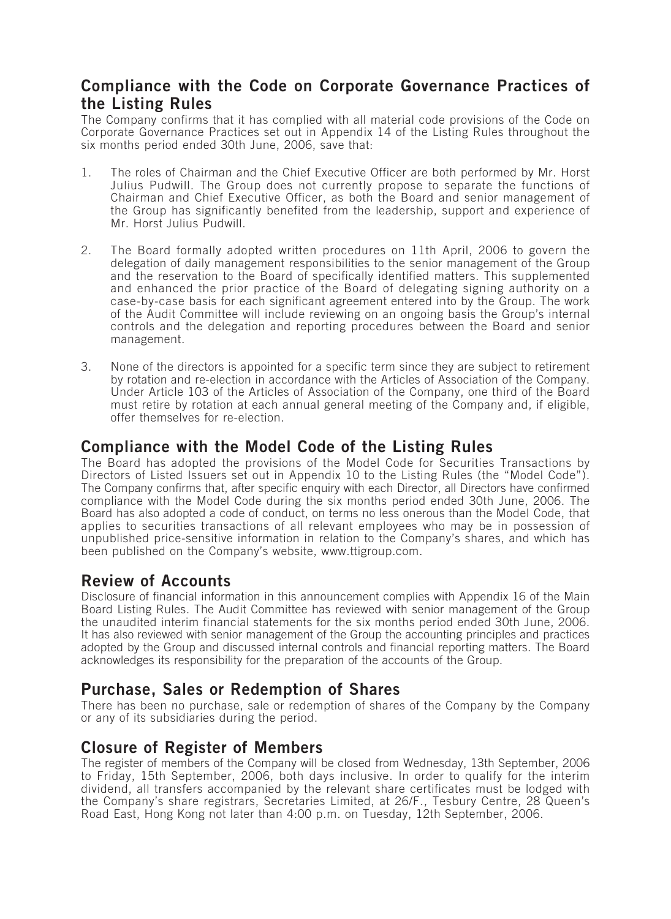## **Compliance with the Code on Corporate Governance Practices of the Listing Rules**

*The Company confirms that it has complied with all material code provisions of the Code on Corporate Governance Practices set out in Appendix 14 of the Listing Rules throughout the six months period ended 30th June, 2006, save that:*

- *1. The roles of Chairman and the Chief Executive Officer are both performed by Mr. Horst Julius Pudwill. The Group does not currently propose to separate the functions of Chairman and Chief Executive Officer, as both the Board and senior management of the Group has significantly benefited from the leadership, support and experience of Mr. Horst Julius Pudwill.*
- *2. The Board formally adopted written procedures on 11th April, 2006 to govern the delegation of daily management responsibilities to the senior management of the Group and the reservation to the Board of specifically identified matters. This supplemented and enhanced the prior practice of the Board of delegating signing authority on a case-by-case basis for each significant agreement entered into by the Group. The work of the Audit Committee will include reviewing on an ongoing basis the Group's internal controls and the delegation and reporting procedures between the Board and senior management.*
- *3. None of the directors is appointed for a specific term since they are subject to retirement by rotation and re-election in accordance with the Articles of Association of the Company. Under Article 103 of the Articles of Association of the Company, one third of the Board must retire by rotation at each annual general meeting of the Company and, if eligible, offer themselves for re-election.*

## **Compliance with the Model Code of the Listing Rules**

*The Board has adopted the provisions of the Model Code for Securities Transactions by Directors of Listed Issuers set out in Appendix 10 to the Listing Rules (the "Model Code"). The Company confirms that, after specific enquiry with each Director, all Directors have confirmed compliance with the Model Code during the six months period ended 30th June, 2006. The Board has also adopted a code of conduct, on terms no less onerous than the Model Code, that applies to securities transactions of all relevant employees who may be in possession of unpublished price-sensitive information in relation to the Company's shares, and which has been published on the Company's website, www.ttigroup.com.*

## **Review of Accounts**

*Disclosure of financial information in this announcement complies with Appendix 16 of the Main Board Listing Rules. The Audit Committee has reviewed with senior management of the Group the unaudited interim financial statements for the six months period ended 30th June, 2006. It has also reviewed with senior management of the Group the accounting principles and practices adopted by the Group and discussed internal controls and financial reporting matters. The Board acknowledges its responsibility for the preparation of the accounts of the Group.*

## **Purchase, Sales or Redemption of Shares**

*There has been no purchase, sale or redemption of shares of the Company by the Company or any of its subsidiaries during the period.*

## **Closure of Register of Members**

*The register of members of the Company will be closed from Wednesday, 13th September, 2006 to Friday, 15th September, 2006, both days inclusive. In order to qualify for the interim dividend, all transfers accompanied by the relevant share certificates must be lodged with the Company's share registrars, Secretaries Limited, at 26/F., Tesbury Centre, 28 Queen's Road East, Hong Kong not later than 4:00 p.m. on Tuesday, 12th September, 2006.*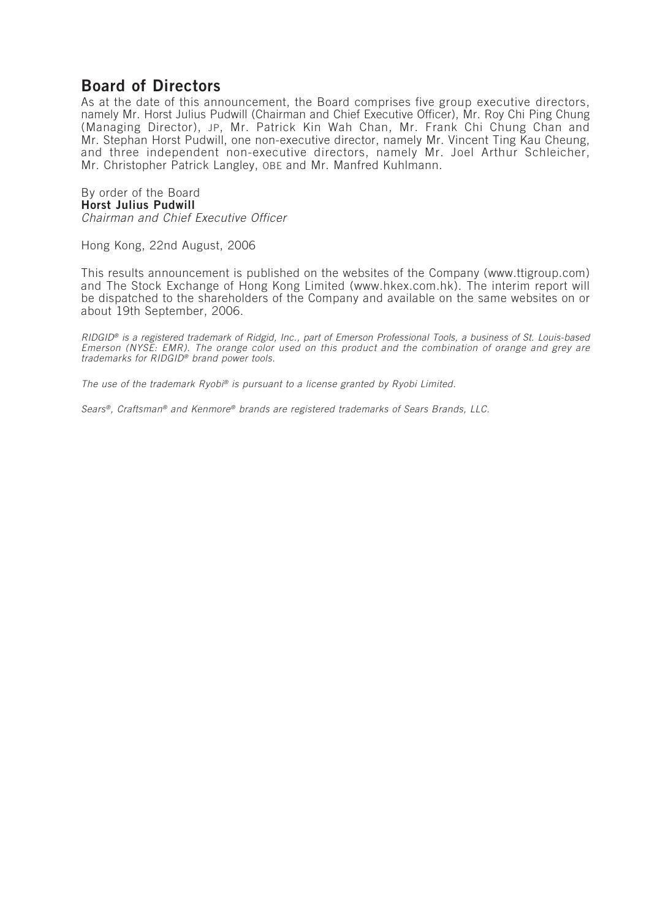## **Board of Directors**

*As at the date of this announcement, the Board comprises five group executive directors, namely Mr. Horst Julius Pudwill (Chairman and Chief Executive Officer), Mr. Roy Chi Ping Chung (Managing Director), JP, Mr. Patrick Kin Wah Chan, Mr. Frank Chi Chung Chan and Mr. Stephan Horst Pudwill, one non-executive director, namely Mr. Vincent Ting Kau Cheung, and three independent non-executive directors, namely Mr. Joel Arthur Schleicher, Mr. Christopher Patrick Langley, OBE and Mr. Manfred Kuhlmann.*

#### *By order of the Board* **Horst Julius Pudwill**

*Chairman and Chief Executive Officer*

*Hong Kong, 22nd August, 2006*

*This results announcement is published on the websites of the Company (www.ttigroup.com)* and The Stock Exchange of Hong Kong Limited (www.hkex.com.hk). The interim report will *be dispatched to the shareholders of the Company and available on the same websites on or about 19th September, 2006.*

*RIDGID® is a registered trademark of Ridgid, Inc., part of Emerson Professional Tools, a business of St. Louis-based Emerson (NYSE: EMR). The orange color used on this product and the combination of orange and grey are trademarks for RIDGID® brand power tools.*

*The use of the trademark Ryobi® is pursuant to a license granted by Ryobi Limited.*

*Sears® , Craftsman® and Kenmore® brands are registered trademarks of Sears Brands, LLC.*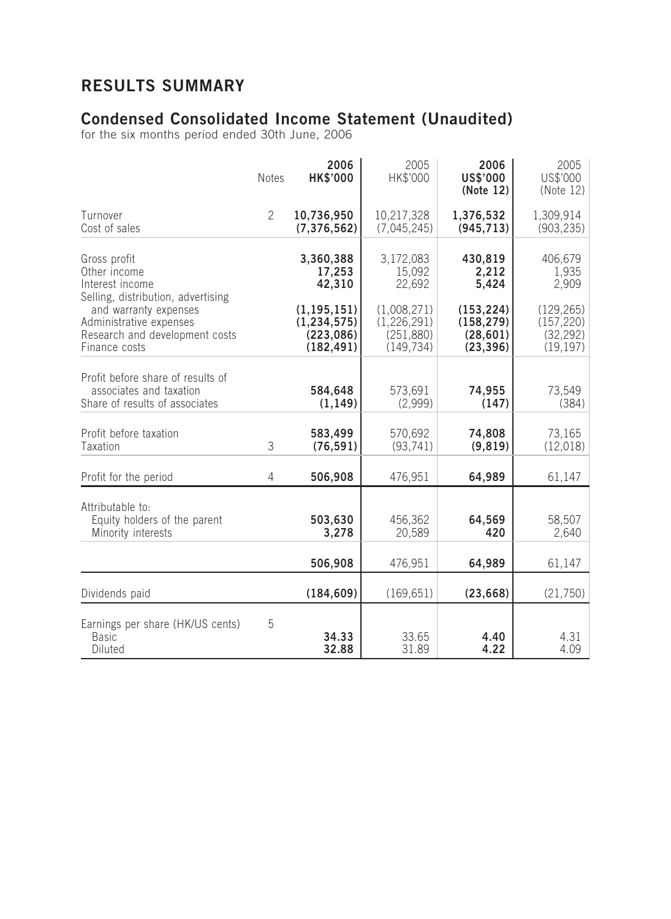# **RESULTS SUMMARY**

## **Condensed Consolidated Income Statement (Unaudited)**

*for the six months period ended 30th June, 2006*

|                                                                                                     | <b>Notes</b>   | 2006<br><b>HK\$'000</b>                                    | 2005<br>HK\$'000                                       | 2006<br><b>US\$'000</b><br>(Note 12)               | 2005<br>US\$'000<br>(Note 12)                      |
|-----------------------------------------------------------------------------------------------------|----------------|------------------------------------------------------------|--------------------------------------------------------|----------------------------------------------------|----------------------------------------------------|
| Turnover<br>Cost of sales                                                                           | $\overline{2}$ | 10,736,950<br>(7, 376, 562)                                | 10,217,328<br>(7,045,245)                              | 1,376,532<br>(945, 713)                            | 1,309,914<br>(903, 235)                            |
| Gross profit<br>Other income<br>Interest income<br>Selling, distribution, advertising               |                | 3,360,388<br>17,253<br>42,310                              | 3,172,083<br>15,092<br>22,692                          | 430,819<br>2,212<br>5,424                          | 406,679<br>1,935<br>2,909                          |
| and warranty expenses<br>Administrative expenses<br>Research and development costs<br>Finance costs |                | (1, 195, 151)<br>(1, 234, 575)<br>(223, 086)<br>(182, 491) | (1,008,271)<br>(1,226,291)<br>(251, 880)<br>(149, 734) | (153, 224)<br>(158, 279)<br>(28, 601)<br>(23, 396) | (129, 265)<br>(157, 220)<br>(32, 292)<br>(19, 197) |
| Profit before share of results of<br>associates and taxation<br>Share of results of associates      |                | 584,648<br>(1, 149)                                        | 573,691<br>(2,999)                                     | 74,955<br>(147)                                    | 73,549<br>(384)                                    |
| Profit before taxation<br>Taxation                                                                  | 3              | 583,499<br>(76, 591)                                       | 570,692<br>(93, 741)                                   | 74,808<br>(9, 819)                                 | 73,165<br>(12,018)                                 |
| Profit for the period                                                                               | 4              | 506,908                                                    | 476,951                                                | 64,989                                             | 61,147                                             |
| Attributable to:<br>Equity holders of the parent<br>Minority interests                              |                | 503,630<br>3,278                                           | 456,362<br>20,589                                      | 64,569<br>420                                      | 58,507<br>2,640                                    |
|                                                                                                     |                | 506,908                                                    | 476,951                                                | 64,989                                             | 61,147                                             |
| Dividends paid                                                                                      |                | (184, 609)                                                 | (169, 651)                                             | (23, 668)                                          | (21,750)                                           |
| Earnings per share (HK/US cents)<br><b>Basic</b><br>Diluted                                         | 5              | 34.33<br>32.88                                             | 33.65<br>31.89                                         | 4.40<br>4.22                                       | 4.31<br>4.09                                       |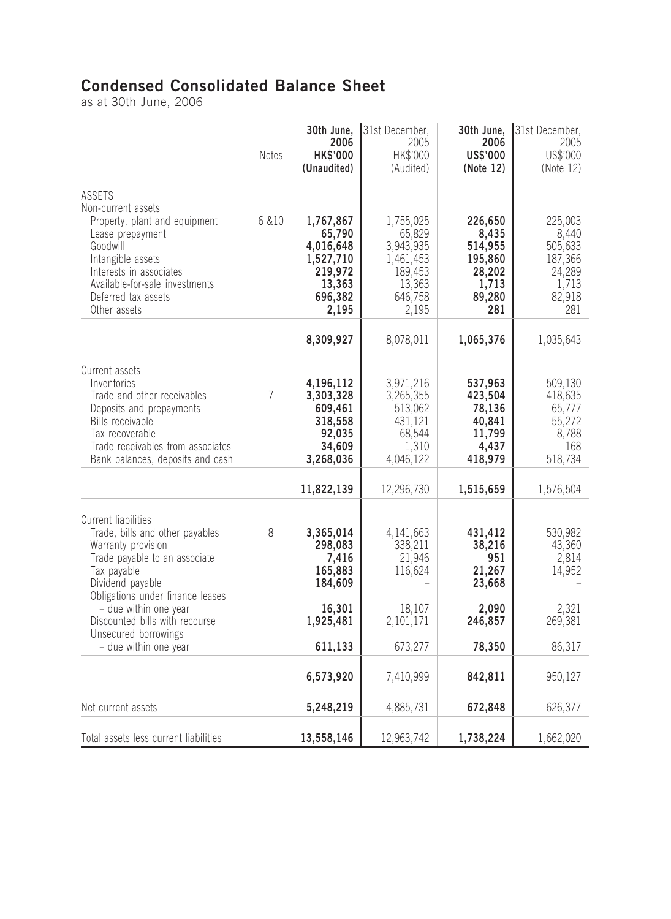# **Condensed Consolidated Balance Sheet**

*as at 30th June, 2006*

|                                                                                                                                                                                                          | <b>Notes</b> | 30th June,<br>2006<br><b>HK\$'000</b><br>(Unaudited)                          | 31st December,<br>2005<br>HK\$'000<br>(Audited)                              | 30th June,<br>2006<br>US\$'000<br>(Note 12)                          | 31st December,<br>2005<br>US\$'000<br>(Note 12)                   |
|----------------------------------------------------------------------------------------------------------------------------------------------------------------------------------------------------------|--------------|-------------------------------------------------------------------------------|------------------------------------------------------------------------------|----------------------------------------------------------------------|-------------------------------------------------------------------|
| <b>ASSETS</b><br>Non-current assets<br>Property, plant and equipment<br>Lease prepayment<br>Goodwill<br>Intangible assets<br>Interests in associates<br>Available-for-sale investments                   | 6 & 10       | 1,767,867<br>65,790<br>4,016,648<br>1,527,710<br>219,972<br>13,363            | 1,755,025<br>65,829<br>3,943,935<br>1,461,453<br>189,453<br>13,363           | 226,650<br>8,435<br>514,955<br>195,860<br>28,202<br>1,713            | 225,003<br>8,440<br>505,633<br>187,366<br>24,289<br>1,713         |
| Deferred tax assets<br>Other assets                                                                                                                                                                      |              | 696,382<br>2,195                                                              | 646,758<br>2,195                                                             | 89,280<br>281                                                        | 82,918<br>281                                                     |
|                                                                                                                                                                                                          |              | 8,309,927                                                                     | 8,078,011                                                                    | 1,065,376                                                            | 1,035,643                                                         |
| Current assets<br>Inventories<br>Trade and other receivables<br>Deposits and prepayments<br>Bills receivable<br>Tax recoverable<br>Trade receivables from associates<br>Bank balances, deposits and cash | 7            | 4,196,112<br>3,303,328<br>609,461<br>318,558<br>92,035<br>34,609<br>3,268,036 | 3,971,216<br>3,265,355<br>513,062<br>431,121<br>68,544<br>1,310<br>4,046,122 | 537,963<br>423,504<br>78,136<br>40,841<br>11,799<br>4,437<br>418,979 | 509,130<br>418,635<br>65,777<br>55,272<br>8,788<br>168<br>518,734 |
|                                                                                                                                                                                                          |              | 11,822,139                                                                    | 12,296,730                                                                   | 1,515,659                                                            | 1,576,504                                                         |
| Current liabilities<br>Trade, bills and other payables<br>Warranty provision<br>Trade payable to an associate<br>Tax payable<br>Dividend payable<br>Obligations under finance leases                     | 8            | 3,365,014<br>298,083<br>7,416<br>165,883<br>184,609                           | 4, 141, 663<br>338,211<br>21,946<br>116,624                                  | 431,412<br>38,216<br>951<br>21,267<br>23,668                         | 530,982<br>43,360<br>2,814<br>14,952                              |
| - due within one year<br>Discounted bills with recourse<br>Unsecured borrowings<br>- due within one year                                                                                                 |              | 16,301<br>1,925,481<br>611,133                                                | 18,107<br>2,101,171<br>673,277                                               | 2,090<br>246,857<br>78,350                                           | 2,321<br>269,381<br>86,317                                        |
|                                                                                                                                                                                                          |              | 6,573,920                                                                     | 7,410,999                                                                    | 842,811                                                              | 950,127                                                           |
| Net current assets                                                                                                                                                                                       |              | 5,248,219                                                                     | 4,885,731                                                                    | 672,848                                                              | 626,377                                                           |
| Total assets less current liabilities                                                                                                                                                                    |              | 13,558,146                                                                    | 12,963,742                                                                   | 1,738,224                                                            | 1,662,020                                                         |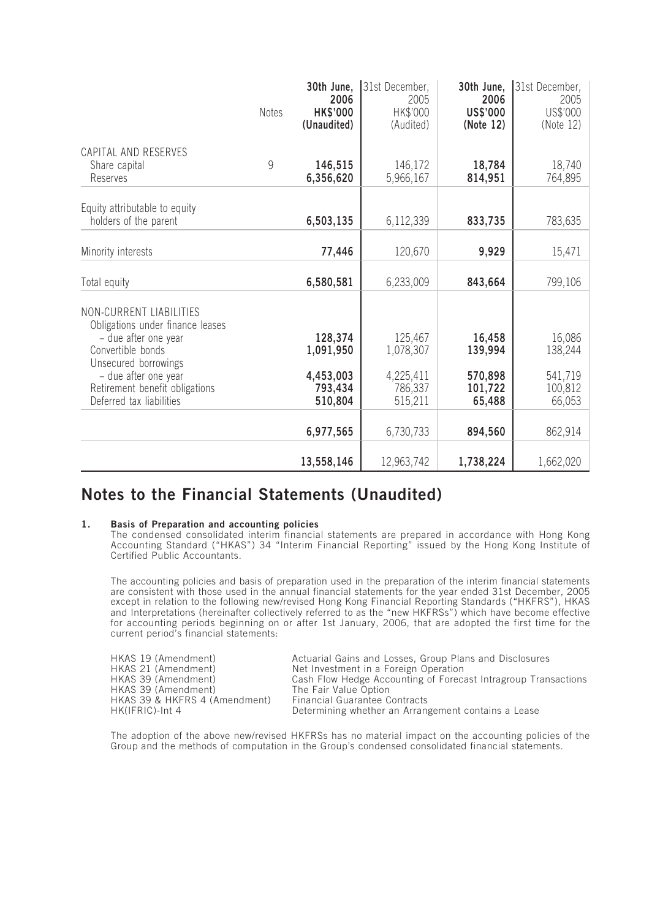|                                                                                    | <b>Notes</b> | 30th June,<br>2006<br><b>HK\$'000</b> | 31st December,<br>2005<br>HK\$'000 | 30th June,<br>2006<br>US\$'000 | 31st December,<br>2005<br>US\$'000 |
|------------------------------------------------------------------------------------|--------------|---------------------------------------|------------------------------------|--------------------------------|------------------------------------|
|                                                                                    |              | (Unaudited)                           | (Audited)                          | (Note 12)                      | (Note 12)                          |
| CAPITAL AND RESERVES<br>Share capital<br>Reserves                                  | 9            | 146,515<br>6,356,620                  | 146,172<br>5,966,167               | 18,784<br>814,951              | 18,740<br>764,895                  |
| Equity attributable to equity<br>holders of the parent                             |              | 6,503,135                             | 6,112,339                          | 833,735                        | 783,635                            |
| Minority interests                                                                 |              | 77,446                                | 120,670                            | 9,929                          | 15,471                             |
| Total equity                                                                       |              | 6,580,581                             | 6,233,009                          | 843,664                        | 799,106                            |
| NON-CURRENT LIABILITIES<br>Obligations under finance leases                        |              |                                       |                                    |                                |                                    |
| - due after one year<br>Convertible bonds<br>Unsecured borrowings                  |              | 128,374<br>1,091,950                  | 125,467<br>1,078,307               | 16,458<br>139,994              | 16,086<br>138,244                  |
| - due after one year<br>Retirement benefit obligations<br>Deferred tax liabilities |              | 4,453,003<br>793,434<br>510,804       | 4,225,411<br>786,337<br>515,211    | 570,898<br>101,722<br>65,488   | 541,719<br>100,812<br>66,053       |
|                                                                                    |              | 6,977,565                             | 6,730,733                          | 894,560                        | 862,914                            |
|                                                                                    |              | 13,558,146                            | 12,963,742                         | 1,738,224                      | 1,662,020                          |

## **Notes to the Financial Statements (Unaudited)**

#### **1. Basis of Preparation and accounting policies**

*The condensed consolidated interim financial statements are prepared in accordance with Hong Kong Accounting Standard ("HKAS") 34 "Interim Financial Reporting" issued by the Hong Kong Institute of Certified Public Accountants.*

*The accounting policies and basis of preparation used in the preparation of the interim financial statements are consistent with those used in the annual financial statements for the year ended 31st December, 2005 except in relation to the following new/revised Hong Kong Financial Reporting Standards ("HKFRS"), HKAS and Interpretations (hereinafter collectively referred to as the "new HKFRSs") which have become effective for accounting periods beginning on or after 1st January, 2006, that are adopted the first time for the current period's financial statements:*

| HKAS 19 (Amendment)           | Actuarial Gains and Losses, Group Plans and Disclosures        |
|-------------------------------|----------------------------------------------------------------|
| HKAS 21 (Amendment)           | Net Investment in a Foreign Operation                          |
| HKAS 39 (Amendment)           | Cash Flow Hedge Accounting of Forecast Intragroup Transactions |
| HKAS 39 (Amendment)           | The Fair Value Option                                          |
| HKAS 39 & HKFRS 4 (Amendment) | <b>Financial Guarantee Contracts</b>                           |
| HK(IFRIC)-Int 4               | Determining whether an Arrangement contains a Lease            |

*The adoption of the above new/revised HKFRSs has no material impact on the accounting policies of the Group and the methods of computation in the Group's condensed consolidated financial statements.*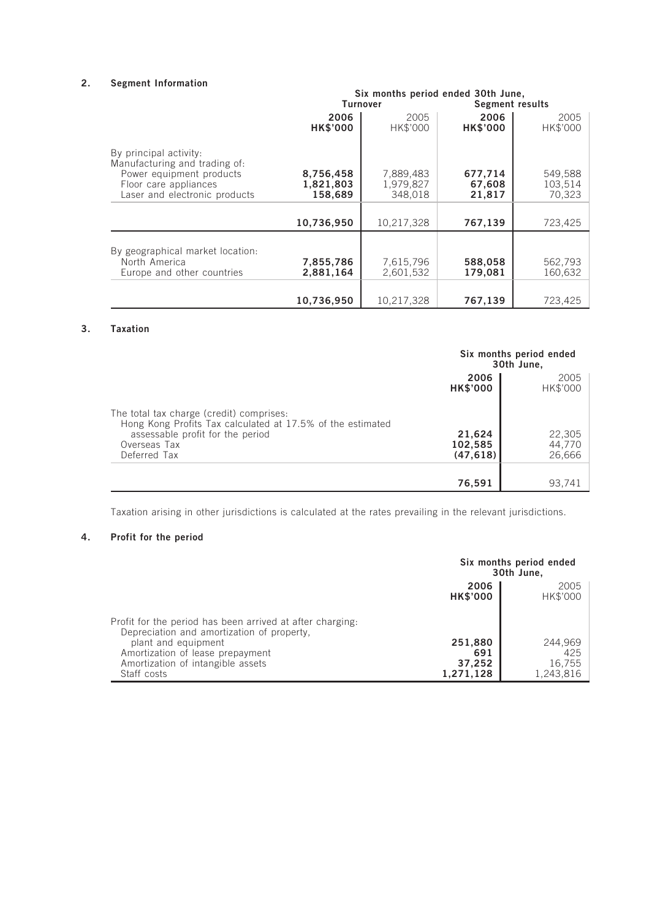### **2. Segment Information**

|                                                                                                                                               | Six months period ended 30th June, |                                   |                             |                              |
|-----------------------------------------------------------------------------------------------------------------------------------------------|------------------------------------|-----------------------------------|-----------------------------|------------------------------|
|                                                                                                                                               |                                    | <b>Turnover</b>                   | Segment results             |                              |
|                                                                                                                                               | 2006<br><b>HK\$'000</b>            | 2005<br>HK\$'000                  | 2006<br><b>HK\$'000</b>     | 2005<br>HK\$'000             |
| By principal activity:<br>Manufacturing and trading of:<br>Power equipment products<br>Floor care appliances<br>Laser and electronic products | 8,756,458<br>1,821,803<br>158,689  | 7,889,483<br>1,979,827<br>348,018 | 677,714<br>67,608<br>21,817 | 549,588<br>103,514<br>70,323 |
|                                                                                                                                               | 10,736,950                         | 10,217,328                        | 767,139                     | 723,425                      |
| By geographical market location:<br>North America<br>Europe and other countries                                                               | 7,855,786<br>2,881,164             | 7,615,796<br>2,601,532            | 588,058<br>179,081          | 562,793<br>160,632           |
|                                                                                                                                               | 10,736,950                         | 10,217,328                        | 767,139                     | 723,425                      |

### **3. Taxation**

|                                                                                                                                                                            | Six months period ended<br>30th June, |                            |
|----------------------------------------------------------------------------------------------------------------------------------------------------------------------------|---------------------------------------|----------------------------|
|                                                                                                                                                                            | 2006<br><b>HK\$'000</b>               | 2005<br>HK\$'000           |
| The total tax charge (credit) comprises:<br>Hong Kong Profits Tax calculated at 17.5% of the estimated<br>assessable profit for the period<br>Overseas Tax<br>Deferred Tax | 21,624<br>102,585<br>(47, 618)        | 22,305<br>44,770<br>26,666 |
|                                                                                                                                                                            | 76,591                                | 93,741                     |

*Taxation arising in other jurisdictions is calculated at the rates prevailing in the relevant jurisdictions.*

### **4. Profit for the period**

|                                                                                                         | Six months period ended<br>30th June, |                     |
|---------------------------------------------------------------------------------------------------------|---------------------------------------|---------------------|
|                                                                                                         | 2006<br><b>HK\$'000</b>               | 2005<br>HK\$'000    |
| Profit for the period has been arrived at after charging.<br>Depreciation and amortization of property, |                                       |                     |
| plant and equipment                                                                                     | 251,880<br>691                        | 244,969<br>425      |
| Amortization of lease prepayment<br>Amortization of intangible assets<br>Staff costs                    | 37,252<br>1,271,128                   | 16,755<br>1,243,816 |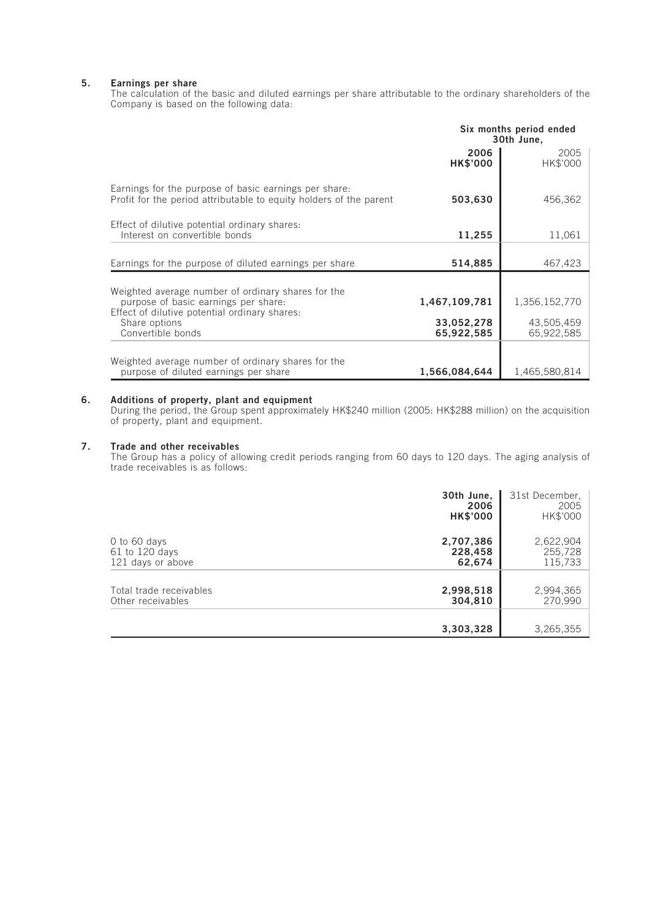#### **5. Earnings per share**

*The calculation of the basic and diluted earnings per share attributable to the ordinary shareholders of the Company is based on the following data:*

|                                                                                                                             | Six months period ended<br>30th June, |                          |
|-----------------------------------------------------------------------------------------------------------------------------|---------------------------------------|--------------------------|
|                                                                                                                             | 2006<br><b>HK\$'000</b>               | 2005<br>HK\$'000         |
| Earnings for the purpose of basic earnings per share.<br>Profit for the period attributable to equity holders of the parent | 503,630                               | 456,362                  |
| Effect of dilutive potential ordinary shares:<br>Interest on convertible bonds                                              | 11,255                                | 11,061                   |
| Earnings for the purpose of diluted earnings per share                                                                      | 514,885                               | 467,423                  |
| Weighted average number of ordinary shares for the                                                                          |                                       |                          |
| purpose of basic earnings per share:                                                                                        | 1,467,109,781                         | 1,356,152,770            |
| Effect of dilutive potential ordinary shares:<br>Share options<br>Convertible bonds                                         | 33,052,278<br>65,922,585              | 43,505,459<br>65,922,585 |
|                                                                                                                             |                                       |                          |
| Weighted average number of ordinary shares for the<br>purpose of diluted earnings per share                                 | 1,566,084,644                         | 1,465,580,814            |

#### **6. Additions of property, plant and equipment**

*During the period, the Group spent approximately HK\$240 million (2005: HK\$288 million) on the acquisition of property, plant and equipment.*

#### **7. Trade and other receivables**

*The Group has a policy of allowing credit periods ranging from 60 days to 120 days. The aging analysis of trade receivables is as follows:*

|                         | 30th June,<br>2006<br><b>HK\$'000</b> | 31st December,<br>2005<br>HK\$'000 |
|-------------------------|---------------------------------------|------------------------------------|
| 0 to 60 days            | 2,707,386                             | 2,622,904                          |
| 61 to 120 days          | 228,458                               | 255,728                            |
| 121 days or above       | 62,674                                | 115,733                            |
| Total trade receivables | 2,998,518                             | 2,994,365                          |
| Other receivables       | 304,810                               | 270,990                            |
|                         | 3,303,328                             | 3,265,355                          |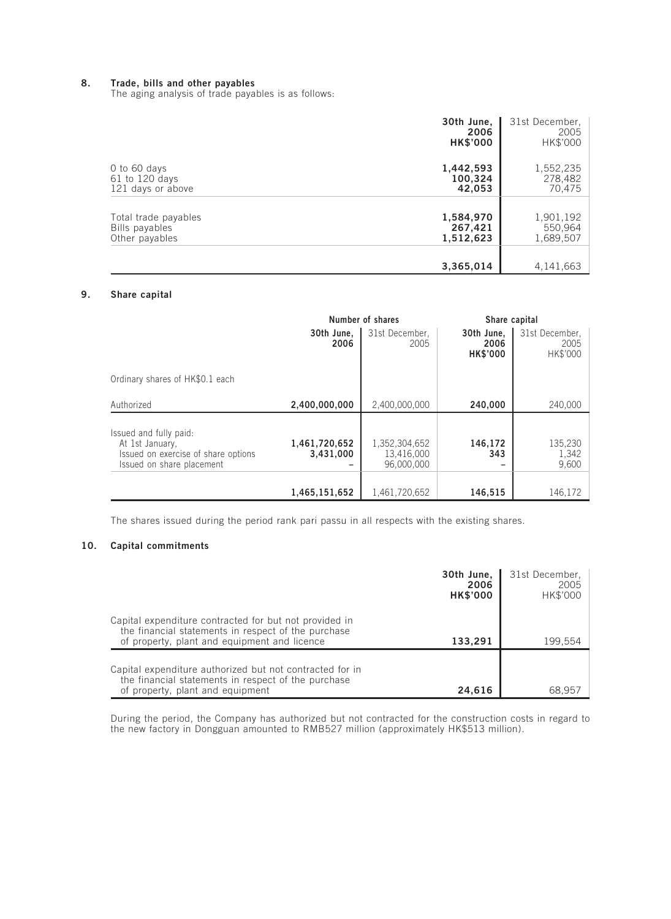#### **8. Trade, bills and other payables**

*The aging analysis of trade payables is as follows:*

|                      | 30th June,<br>2006<br><b>HK\$'000</b> | 31st December,<br>2005<br>HK\$'000 |
|----------------------|---------------------------------------|------------------------------------|
| 0 to 60 days         | 1,442,593                             | 1,552,235                          |
| 61 to 120 days       | 100,324                               | 278,482                            |
| 121 days or above    | 42,053                                | 70,475                             |
| Total trade payables | 1,584,970                             | 1,901,192                          |
| Bills payables       | 267,421                               | 550,964                            |
| Other payables       | 1,512,623                             | 1,689,507                          |
|                      | 3,365,014                             | 4,141,663                          |

### **9. Share capital**

|                                                                                                               | Number of shares           |                                           | Share capital                         |                                    |
|---------------------------------------------------------------------------------------------------------------|----------------------------|-------------------------------------------|---------------------------------------|------------------------------------|
|                                                                                                               | 30th June,<br>2006         | 31st December,<br>2005                    | 30th June,<br>2006<br><b>HK\$'000</b> | 31st December,<br>2005<br>HK\$'000 |
| Ordinary shares of HK\$0.1 each                                                                               |                            |                                           |                                       |                                    |
| Authorized                                                                                                    | 2,400,000,000              | 2,400,000,000                             | 240,000                               | 240,000                            |
| Issued and fully paid:<br>At 1st January.<br>Issued on exercise of share options<br>Issued on share placement | 1,461,720,652<br>3,431,000 | 1,352,304,652<br>13,416,000<br>96,000,000 | 146,172<br>343                        | 135,230<br>1,342<br>9,600          |
|                                                                                                               | 1,465,151,652              | 1,461,720,652                             | 146,515                               | 146,172                            |

*The shares issued during the period rank pari passu in all respects with the existing shares.*

#### **10. Capital commitments**

|                                                                                                                                                               | 30th June,<br>2006<br><b>HK\$'000</b> | 31st December,<br>2005<br>HK\$'000 |
|---------------------------------------------------------------------------------------------------------------------------------------------------------------|---------------------------------------|------------------------------------|
| Capital expenditure contracted for but not provided in<br>the financial statements in respect of the purchase<br>of property, plant and equipment and licence | 133.291                               | 199.554                            |
| Capital expenditure authorized but not contracted for in<br>the financial statements in respect of the purchase<br>of property, plant and equipment           | 24.616                                | 68.957                             |

*During the period, the Company has authorized but not contracted for the construction costs in regard to the new factory in Dongguan amounted to RMB527 million (approximately HK\$513 million).*